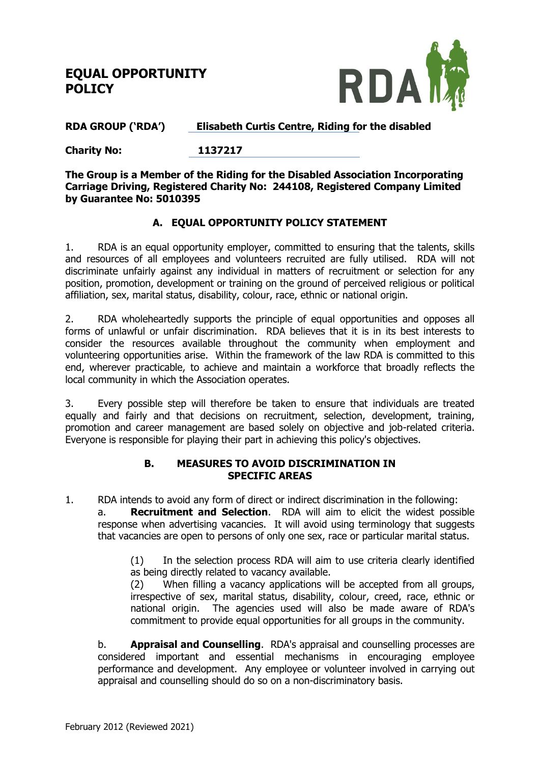# **EQUAL OPPORTUNITY POLICY**



### **RDA GROUP ('RDA') Elisabeth Curtis Centre, Riding for the disabled**

**Charity No: 1137217**

**The Group is a Member of the Riding for the Disabled Association Incorporating Carriage Driving, Registered Charity No: 244108, Registered Company Limited by Guarantee No: 5010395**

### **A. EQUAL OPPORTUNITY POLICY STATEMENT**

1. RDA is an equal opportunity employer, committed to ensuring that the talents, skills and resources of all employees and volunteers recruited are fully utilised. RDA will not discriminate unfairly against any individual in matters of recruitment or selection for any position, promotion, development or training on the ground of perceived religious or political affiliation, sex, marital status, disability, colour, race, ethnic or national origin.

2. RDA wholeheartedly supports the principle of equal opportunities and opposes all forms of unlawful or unfair discrimination. RDA believes that it is in its best interests to consider the resources available throughout the community when employment and volunteering opportunities arise. Within the framework of the law RDA is committed to this end, wherever practicable, to achieve and maintain a workforce that broadly reflects the local community in which the Association operates.

3. Every possible step will therefore be taken to ensure that individuals are treated equally and fairly and that decisions on recruitment, selection, development, training, promotion and career management are based solely on objective and job-related criteria. Everyone is responsible for playing their part in achieving this policy's objectives.

#### **B. MEASURES TO AVOID DISCRIMINATION IN SPECIFIC AREAS**

1. RDA intends to avoid any form of direct or indirect discrimination in the following:

a. **Recruitment and Selection**. RDA will aim to elicit the widest possible response when advertising vacancies. It will avoid using terminology that suggests that vacancies are open to persons of only one sex, race or particular marital status.

(1) In the selection process RDA will aim to use criteria clearly identified as being directly related to vacancy available.

(2) When filling a vacancy applications will be accepted from all groups, irrespective of sex, marital status, disability, colour, creed, race, ethnic or national origin. The agencies used will also be made aware of RDA's commitment to provide equal opportunities for all groups in the community.

b. **Appraisal and Counselling**. RDA's appraisal and counselling processes are considered important and essential mechanisms in encouraging employee performance and development. Any employee or volunteer involved in carrying out appraisal and counselling should do so on a non-discriminatory basis.